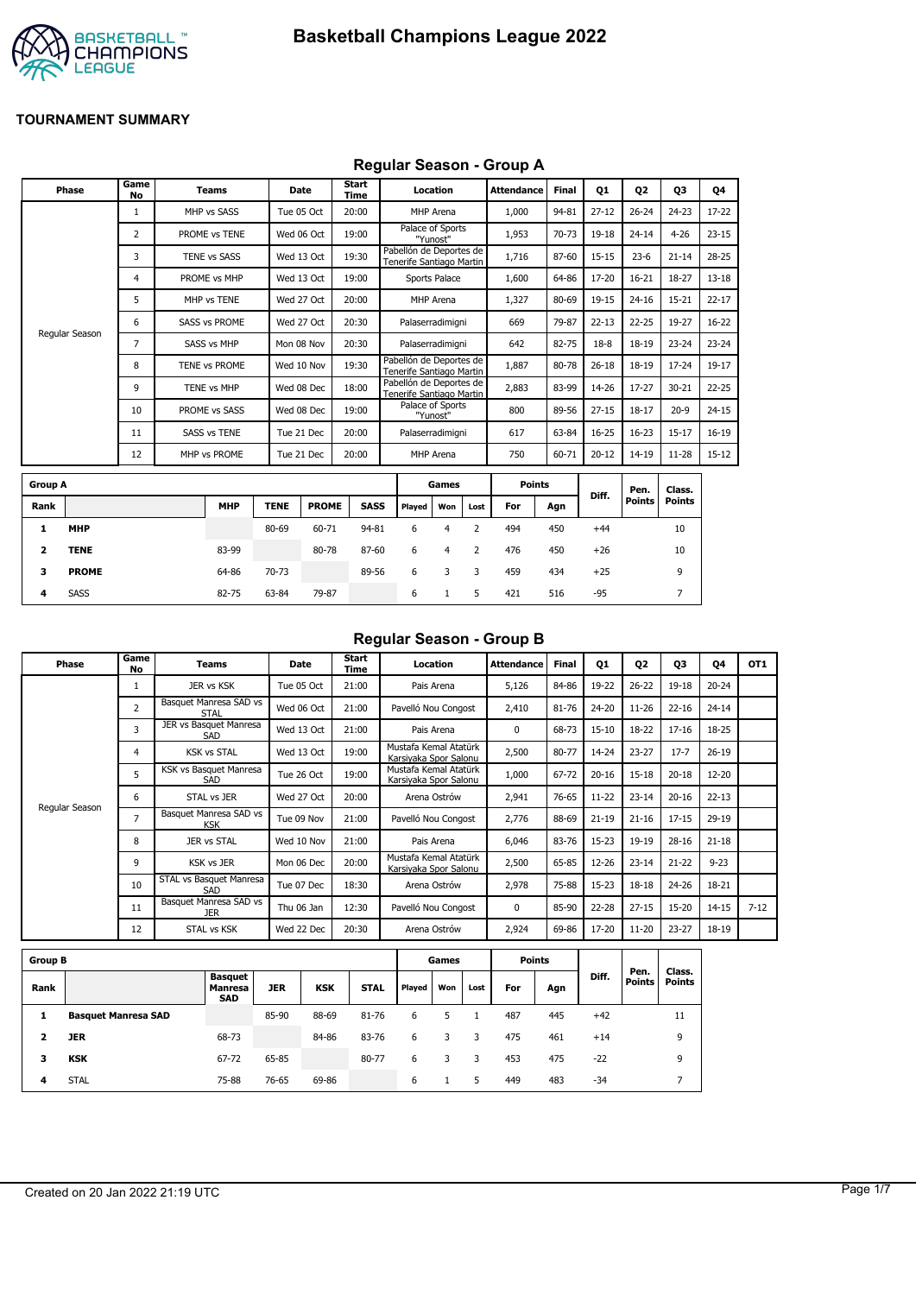

### **Regular Season - Group A**

|                | Phase          | Game<br><b>No</b> | <b>Teams</b>         | Date        |              | <b>Start</b><br><b>Time</b> |                                                     | Location                     |                | <b>Attendance</b> | Final | <b>Q1</b> | 02                    | 03                      | 04        |
|----------------|----------------|-------------------|----------------------|-------------|--------------|-----------------------------|-----------------------------------------------------|------------------------------|----------------|-------------------|-------|-----------|-----------------------|-------------------------|-----------|
|                |                | 1                 | MHP vs SASS          | Tue 05 Oct  |              | 20:00                       |                                                     | MHP Arena                    |                | 1,000             | 94-81 | $27 - 12$ | $26 - 24$             | $24 - 23$               | 17-22     |
|                |                | 2                 | PROME vs TENE        |             | Wed 06 Oct   | 19:00                       |                                                     | Palace of Sports<br>"Yunost" |                | 1,953             | 70-73 | 19-18     | $24 - 14$             | $4 - 26$                | $23 - 15$ |
|                |                | 3                 | <b>TENE vs SASS</b>  | Wed 13 Oct  |              | 19:30                       | Pabellón de Deportes de<br>Tenerife Santiago Martin |                              |                | 1,716             | 87-60 | $15 - 15$ | $23 - 6$              | $21 - 14$               | $28 - 25$ |
|                |                | 4                 | PROME vs MHP         | Wed 13 Oct  |              | 19:00                       |                                                     | Sports Palace                |                | 1,600             | 64-86 | 17-20     | $16 - 21$             | 18-27                   | $13 - 18$ |
|                |                | 5                 | MHP vs TENE          |             | Wed 27 Oct   | 20:00                       |                                                     | MHP Arena                    |                | 1,327             | 80-69 | 19-15     | $24 - 16$             | $15 - 21$               | $22 - 17$ |
|                |                | 6                 | <b>SASS vs PROME</b> |             | Wed 27 Oct   | 20:30                       |                                                     | Palaserradimigni             |                | 669               | 79-87 | $22 - 13$ | $22 - 25$             | 19-27                   | $16 - 22$ |
|                | Regular Season | 7                 | <b>SASS vs MHP</b>   | Mon 08 Nov  |              | 20:30                       |                                                     | Palaserradimigni             |                | 642               | 82-75 | $18-8$    | $18 - 19$             | $23 - 24$               | $23 - 24$ |
|                |                | 8                 | TENE vs PROME        | Wed 10 Nov  |              | 19:30                       | Pabellón de Deportes de<br>Tenerife Santiago Martin |                              |                | 1,887             | 80-78 | $26 - 18$ | $18 - 19$             | $17 - 24$               | $19-17$   |
|                |                | 9                 | <b>TENE vs MHP</b>   | Wed 08 Dec  |              | 18:00                       | Pabellón de Deportes de<br>Tenerife Santiago Martin |                              |                | 2,883             | 83-99 | 14-26     | $17 - 27$             | $30 - 21$               | $22 - 25$ |
|                |                | 10                | PROME vs SASS        | Wed 08 Dec  |              | 19:00                       |                                                     | Palace of Sports<br>"Yunost" |                | 800               | 89-56 | $27 - 15$ | $18 - 17$             | $20 - 9$                | $24 - 15$ |
|                |                | 11                | <b>SASS vs TENE</b>  | Tue 21 Dec  |              | 20:00                       |                                                     | Palaserradimigni             |                | 617               | 63-84 | $16 - 25$ | $16 - 23$             | $15 - 17$               | $16 - 19$ |
|                |                | 12                | MHP vs PROME         | Tue 21 Dec  |              | 20:00                       |                                                     | MHP Arena                    |                | 750               | 60-71 | $20 - 12$ | $14 - 19$             | $11 - 28$               | $15 - 12$ |
| <b>Group A</b> |                |                   |                      |             |              |                             |                                                     | Games                        |                | <b>Points</b>     |       |           |                       |                         |           |
| Rank           |                |                   | <b>MHP</b>           | <b>TENE</b> | <b>PROME</b> | <b>SASS</b>                 | Played                                              | Won                          | Lost           | For               | Agn   | Diff.     | Pen.<br><b>Points</b> | Class.<br><b>Points</b> |           |
| 1              | <b>MHP</b>     |                   |                      | 80-69       | 60-71        | 94-81                       | 6                                                   | $\overline{4}$               | $\overline{2}$ | 494               | 450   | $+44$     |                       | 10                      |           |
| 2              | <b>TENE</b>    |                   | 83-99                |             | 80-78        | 87-60                       | 6                                                   | 4                            | $\overline{2}$ | 476               | 450   | $+26$     |                       | 10                      |           |
| 3              | <b>PROME</b>   |                   | 64-86                | 70-73       |              | 89-56                       | 6                                                   | 3                            | 3              | 459               | 434   | $+25$     |                       | 9                       |           |

**4** SASS 82-75 63-84 79-87 6 1 5 421 516 -95 7

# **Regular Season - Group B**

| Phase          | Game<br>No     | Teams                                | Date       | Start<br>Time | Location                                       | <b>Attendance</b> | <b>Final</b> | 01        | 02        | 03        | 04        | OT <sub>1</sub> |
|----------------|----------------|--------------------------------------|------------|---------------|------------------------------------------------|-------------------|--------------|-----------|-----------|-----------|-----------|-----------------|
|                |                | JER vs KSK                           | Tue 05 Oct | 21:00         | Pais Arena                                     | 5,126             | 84-86        | 19-22     | $26 - 22$ | $19 - 18$ | $20 - 24$ |                 |
|                | $\overline{2}$ | Basquet Manresa SAD vs<br>STAL       | Wed 06 Oct | 21:00         | Pavelló Nou Congost                            | 2,410             | 81-76        | 24-20     | $11 - 26$ | $22 - 16$ | $24 - 14$ |                 |
|                | 3              | JER vs Basquet Manresa<br>SAD        | Wed 13 Oct | 21:00         | Pais Arena                                     | $\Omega$          | 68-73        | $15 - 10$ | 18-22     | $17 - 16$ | 18-25     |                 |
|                | 4              | <b>KSK vs STAL</b>                   | Wed 13 Oct | 19:00         | Mustafa Kemal Atatürk<br>Karsivaka Spor Salonu | 2,500             | 80-77        | 14-24     | $23 - 27$ | $17 - 7$  | $26-19$   |                 |
|                | 5              | KSK vs Basquet Manresa<br>SAD        | Tue 26 Oct | 19:00         | Mustafa Kemal Atatürk<br>Karsiyaka Spor Salonu | 1,000             | 67-72        | $20 - 16$ | $15 - 18$ | $20 - 18$ | $12 - 20$ |                 |
|                | 6              | STAL vs JER                          | Wed 27 Oct | 20:00         | Arena Ostrów                                   | 2,941             | 76-65        | $11 - 22$ | $23 - 14$ | $20 - 16$ | $22 - 13$ |                 |
| Regular Season | 7              | Basquet Manresa SAD vs<br><b>KSK</b> | Tue 09 Nov | 21:00         | Pavelló Nou Congost                            | 2,776             | 88-69        | $21 - 19$ | $21 - 16$ | $17 - 15$ | 29-19     |                 |
|                | 8              | JER vs STAL                          | Wed 10 Nov | 21:00         | Pais Arena                                     | 6,046             | 83-76        | $15-23$   | 19-19     | $28 - 16$ | $21 - 18$ |                 |
|                | 9              | <b>KSK vs JER</b>                    | Mon 06 Dec | 20:00         | Mustafa Kemal Atatürk<br>Karsiyaka Spor Salonu | 2,500             | 65-85        | 12-26     | $23 - 14$ | $21 - 22$ | $9 - 23$  |                 |
|                | 10             | STAL vs Basquet Manresa<br>SAD       | Tue 07 Dec | 18:30         | Arena Ostrów                                   | 2,978             | 75-88        | $15 - 23$ | $18 - 18$ | $24 - 26$ | 18-21     |                 |
|                | 11             | Basquet Manresa SAD vs<br><b>JER</b> | Thu 06 Jan | 12:30         | Pavelló Nou Congost                            | $\Omega$          | 85-90        | $22 - 28$ | $27 - 15$ | $15 - 20$ | $14 - 15$ | $7 - 12$        |
|                | 12             | STAL vs KSK                          | Wed 22 Dec | 20:30         | Arena Ostrów                                   | 2,924             | 69-86        | 17-20     | $11 - 20$ | $23 - 27$ | 18-19     |                 |

| <b>Group B</b> |                            |                                         |       |            |             |        | Games |      |     | <b>Points</b> |       |                       |                         |
|----------------|----------------------------|-----------------------------------------|-------|------------|-------------|--------|-------|------|-----|---------------|-------|-----------------------|-------------------------|
| Rank           |                            | <b>Basquet</b><br>Manresa<br><b>SAD</b> | JER   | <b>KSK</b> | <b>STAL</b> | Played | Won   | Lost | For | Agn           | Diff. | Pen.<br><b>Points</b> | Class.<br><b>Points</b> |
|                | <b>Basquet Manresa SAD</b> |                                         | 85-90 | 88-69      | 81-76       | 6      |       |      | 487 | 445           | $+42$ |                       | 11                      |
|                | <b>JER</b>                 | 68-73                                   |       | 84-86      | 83-76       | 6      |       | 3    | 475 | 461           | $+14$ |                       | 9                       |
| з              | <b>KSK</b>                 | 67-72                                   | 65-85 |            | 80-77       | 6      |       | 3    | 453 | 475           | $-22$ |                       | 9                       |
| 4              | <b>STAL</b>                | 75-88                                   | 76-65 | 69-86      |             | 6      |       | 5    | 449 | 483           | $-34$ |                       |                         |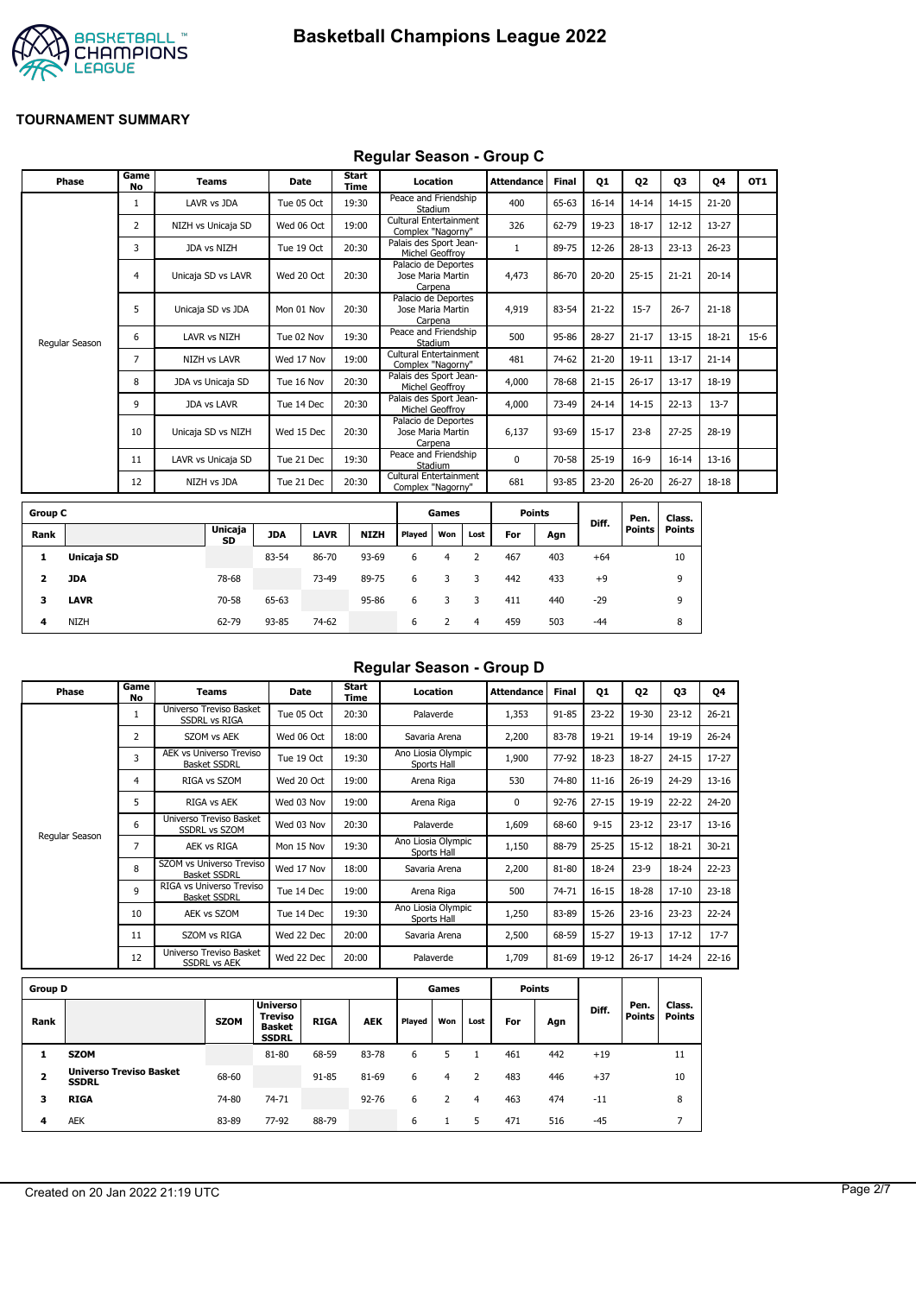



#### **Regular Season - Group C**

| Phase          | Game<br><b>No</b> | <b>Teams</b>        | Date       | Start<br>Time | Location                                            | <b>Attendance</b> | <b>Final</b> | Q1        | Q <sub>2</sub> | Q3        | Q4        | OT <sub>1</sub> |
|----------------|-------------------|---------------------|------------|---------------|-----------------------------------------------------|-------------------|--------------|-----------|----------------|-----------|-----------|-----------------|
|                | 1                 | LAVR vs JDA         | Tue 05 Oct | 19:30         | Peace and Friendship<br>Stadium                     | 400               | 65-63        | $16 - 14$ | $14 - 14$      | $14 - 15$ | $21 - 20$ |                 |
|                | 2                 | NIZH vs Unicaja SD  | Wed 06 Oct | 19:00         | Cultural Entertainment<br>Complex "Nagorny"         | 326               | 62-79        | 19-23     | $18 - 17$      | $12 - 12$ | 13-27     |                 |
|                | 3                 | JDA vs NIZH         | Tue 19 Oct | 20:30         | Palais des Sport Jean-<br>Michel Geoffroy           |                   | 89-75        | 12-26     | $28-13$        | $23 - 13$ | $26 - 23$ |                 |
|                | 4                 | Unicaja SD vs LAVR  | Wed 20 Oct | 20:30         | Palacio de Deportes<br>Jose Maria Martin<br>Carpena | 4,473             | 86-70        | $20 - 20$ | $25 - 15$      | $21 - 21$ | $20 - 14$ |                 |
|                | 5                 | Unicaja SD vs JDA   | Mon 01 Nov | 20:30         | Palacio de Deportes<br>Jose Maria Martin<br>Carpena | 4,919             | 83-54        | $21 - 22$ | $15 - 7$       | $26 - 7$  | $21 - 18$ |                 |
| Regular Season | 6                 | LAVR vs NIZH        | Tue 02 Nov | 19:30         | Peace and Friendship<br>Stadium                     | 500               | 95-86        | $28 - 27$ | $21 - 17$      | $13 - 15$ | 18-21     | $15-6$          |
|                | $\overline{7}$    | <b>NIZH vs LAVR</b> | Wed 17 Nov | 19:00         | Cultural Entertainment<br>Complex "Nagorny"         | 481               | 74-62        | $21 - 20$ | $19 - 11$      | $13 - 17$ | $21 - 14$ |                 |
|                | 8                 | JDA vs Unicaja SD   | Tue 16 Nov | 20:30         | Palais des Sport Jean-<br>Michel Geoffroy           | 4,000             | 78-68        | $21 - 15$ | $26 - 17$      | $13 - 17$ | 18-19     |                 |
|                | 9                 | <b>JDA vs LAVR</b>  | Tue 14 Dec | 20:30         | Palais des Sport Jean-<br>Michel Geoffrov           | 4,000             | 73-49        | $24 - 14$ | $14 - 15$      | $22 - 13$ | $13 - 7$  |                 |
|                | 10                | Unicaja SD vs NIZH  | Wed 15 Dec | 20:30         | Palacio de Deportes<br>Jose Maria Martin<br>Carpena | 6,137             | 93-69        | $15 - 17$ | $23 - 8$       | $27 - 25$ | 28-19     |                 |
|                | 11                | LAVR vs Unicaja SD  | Tue 21 Dec | 19:30         | Peace and Friendship<br>Stadium                     | $\Omega$          | 70-58        | $25-19$   | $16-9$         | $16 - 14$ | $13 - 16$ |                 |
|                | 12                | NIZH vs JDA         | Tue 21 Dec | 20:30         | Cultural Entertainment<br>Complex "Nagorny"         | 681               | 93-85        | 23-20     | $26 - 20$      | $26 - 27$ | 18-18     |                 |
|                |                   |                     |            |               |                                                     |                   |              |           |                |           |           |                 |

| <b>Group C</b> |             |                      |            |             |             |        | Games |      | <b>Points</b> |     |       | Pen.   | Class. |
|----------------|-------------|----------------------|------------|-------------|-------------|--------|-------|------|---------------|-----|-------|--------|--------|
| Rank           |             | <b>Unicaja</b><br>SD | <b>JDA</b> | <b>LAVR</b> | <b>NIZH</b> | Played | Won   | Lost | For           | Agn | Diff. | Points | Points |
| л.             | Unicaja SD  |                      | 83-54      | 86-70       | 93-69       | 6      | 4     |      | 467           | 403 | $+64$ |        | 10     |
| 2              | JDA         | 78-68                |            | 73-49       | 89-75       | 6      | 3     | 3    | 442           | 433 | $+9$  |        | 9      |
| 3              | <b>LAVR</b> | 70-58                | 65-63      |             | 95-86       | 6      |       |      | 411           | 440 | $-29$ |        | 9      |
| 4              | <b>NIZH</b> | 62-79                | 93-85      | 74-62       |             | 6      |       | 4    | 459           | 503 | $-44$ |        | 8      |

# **Regular Season - Group D**

| Phase          | Game<br>No   | Teams                                           | <b>Date</b> | Start<br>Time | Location                          | <b>Attendance</b> | Final | Q1        | Q2        | 03        | Q4        |
|----------------|--------------|-------------------------------------------------|-------------|---------------|-----------------------------------|-------------------|-------|-----------|-----------|-----------|-----------|
|                | $\mathbf{1}$ | Universo Treviso Basket<br><b>SSDRL vs RIGA</b> | Tue 05 Oct  | 20:30         | Palaverde                         | 1,353             | 91-85 | 23-22     | 19-30     | $23 - 12$ | $26 - 21$ |
|                | 2            | SZOM vs AEK                                     | Wed 06 Oct  | 18:00         | Savaria Arena                     | 2,200             | 83-78 | 19-21     | $19 - 14$ | 19-19     | $26 - 24$ |
|                | 3            | AEK vs Universo Treviso<br><b>Basket SSDRL</b>  | Tue 19 Oct  | 19:30         | Ano Liosia Olympic<br>Sports Hall | 1,900             | 77-92 | 18-23     | 18-27     | $24 - 15$ | $17 - 27$ |
|                | 4            | RIGA vs SZOM                                    | Wed 20 Oct  | 19:00         | Arena Riga                        | 530               | 74-80 | $11 - 16$ | $26 - 19$ | 24-29     | $13 - 16$ |
|                | 5            | <b>RIGA vs AEK</b>                              | Wed 03 Nov  | 19:00         | Arena Riga                        | 0                 | 92-76 | $27 - 15$ | 19-19     | 22-22     | $24 - 20$ |
|                | 6            | Universo Treviso Basket<br><b>SSDRL vs SZOM</b> | Wed 03 Nov  | 20:30         | Palaverde                         | 1,609             | 68-60 | $9 - 15$  | $23 - 12$ | $23 - 17$ | $13 - 16$ |
| Regular Season | 7            | AEK vs RIGA                                     | Mon 15 Nov  | 19:30         | Ano Liosia Olympic<br>Sports Hall | 1,150             | 88-79 | $25 - 25$ | $15 - 12$ | 18-21     | $30 - 21$ |
|                | 8            | SZOM vs Universo Treviso<br><b>Basket SSDRL</b> | Wed 17 Nov  | 18:00         | Savaria Arena                     | 2,200             | 81-80 | 18-24     | $23-9$    | 18-24     | $22 - 23$ |
|                | 9            | RIGA vs Universo Treviso<br><b>Basket SSDRL</b> | Tue 14 Dec  | 19:00         | Arena Riga                        | 500               | 74-71 | $16 - 15$ | 18-28     | $17 - 10$ | $23-18$   |
|                | 10           | AEK vs SZOM                                     | Tue 14 Dec  | 19:30         | Ano Liosia Olympic<br>Sports Hall | 1,250             | 83-89 | 15-26     | $23 - 16$ | $23 - 23$ | $22 - 24$ |
|                | 11           | SZOM vs RIGA                                    | Wed 22 Dec  | 20:00         | Savaria Arena                     | 2,500             | 68-59 | $15 - 27$ | $19-13$   | $17 - 12$ | $17 - 7$  |
|                | 12           | Universo Treviso Basket<br><b>SSDRL vs AEK</b>  | Wed 22 Dec  | 20:00         | Palaverde                         | 1,709             | 81-69 | 19-12     | $26 - 17$ | 14-24     | $22 - 16$ |
|                |              |                                                 |             |               |                                   |                   |       |           |           |           |           |

| <b>Group D</b>          |                                                |             |                                                                    |             |            |        | Games |      |     | Points |       |                       |                         |
|-------------------------|------------------------------------------------|-------------|--------------------------------------------------------------------|-------------|------------|--------|-------|------|-----|--------|-------|-----------------------|-------------------------|
| Rank                    |                                                | <b>SZOM</b> | <b>Universo</b><br><b>Treviso</b><br><b>Basket</b><br><b>SSDRL</b> | <b>RIGA</b> | <b>AEK</b> | Played | Won   | Lost | For | Agn    | Diff. | Pen.<br><b>Points</b> | Class.<br><b>Points</b> |
|                         | <b>SZOM</b>                                    |             | 81-80                                                              | 68-59       | 83-78      | 6      |       |      | 461 | 442    | $+19$ |                       | 11                      |
| $\overline{\mathbf{2}}$ | <b>Universo Treviso Basket</b><br><b>SSDRL</b> | 68-60       |                                                                    | 91-85       | 81-69      | 6      | 4     | っ    | 483 | 446    | $+37$ |                       | 10                      |
| з                       | <b>RIGA</b>                                    | 74-80       | 74-71                                                              |             | $92 - 76$  | 6      |       | 4    | 463 | 474    | $-11$ |                       | 8                       |
| 4                       | <b>AEK</b>                                     | 83-89       | 77-92                                                              | 88-79       |            | 6      |       | 5    | 471 | 516    | $-45$ |                       |                         |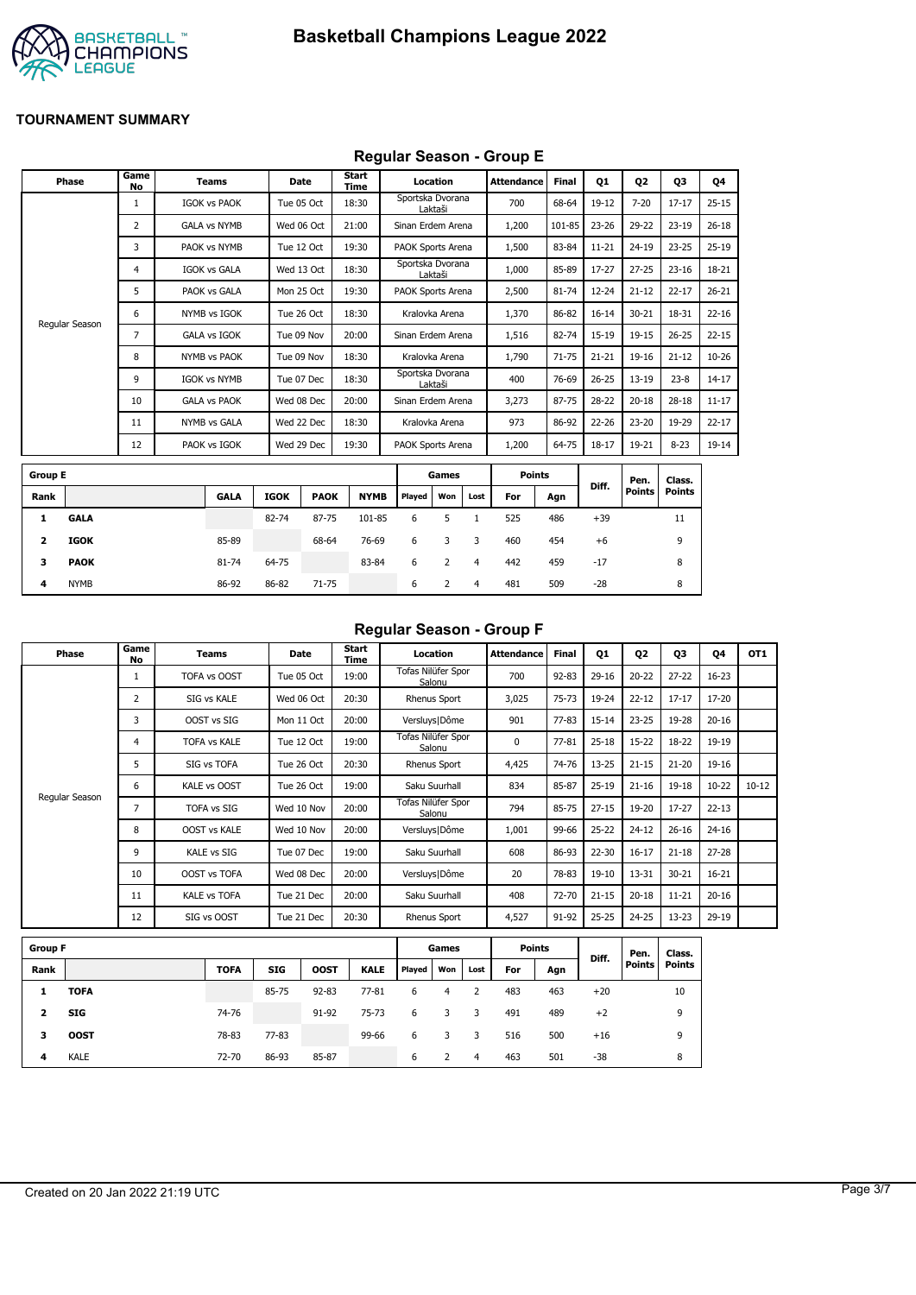

# **Regular Season - Group E**

|                | Phase          | Game<br>No     | <b>Teams</b>        |             | <b>Date</b> | Start<br>Time |                   | Location |                | <b>Attendance</b> | <b>Final</b> | 01        | <b>Q2</b>     | 03            | Q4        |
|----------------|----------------|----------------|---------------------|-------------|-------------|---------------|-------------------|----------|----------------|-------------------|--------------|-----------|---------------|---------------|-----------|
|                |                | $\mathbf{1}$   | <b>IGOK vs PAOK</b> |             | Tue 05 Oct  | 18:30         | Sportska Dvorana  | Laktaši  |                | 700               | 68-64        | $19-12$   | $7 - 20$      | $17 - 17$     | $25 - 15$ |
|                |                | $\overline{2}$ | <b>GALA vs NYMB</b> |             | Wed 06 Oct  | 21:00         | Sinan Erdem Arena |          |                | 1,200             | 101-85       | $23 - 26$ | 29-22         | $23 - 19$     | $26 - 18$ |
|                |                | 3              | PAOK vs NYMB        |             | Tue 12 Oct  | 19:30         | PAOK Sports Arena |          |                | 1,500             | 83-84        | $11 - 21$ | $24 - 19$     | $23 - 25$     | $25-19$   |
|                |                | 4              | <b>IGOK vs GALA</b> |             | Wed 13 Oct  | 18:30         | Sportska Dvorana  | Laktaši  |                | 1,000             | 85-89        | 17-27     | $27 - 25$     | $23 - 16$     | 18-21     |
|                |                | 5              | PAOK vs GALA        |             | Mon 25 Oct  | 19:30         | PAOK Sports Arena |          |                | 2,500             | 81-74        | 12-24     | $21 - 12$     | $22 - 17$     | $26 - 21$ |
|                |                | 6              | NYMB vs IGOK        |             | Tue 26 Oct  | 18:30         | Kralovka Arena    |          |                | 1,370             | 86-82        | $16 - 14$ | $30 - 21$     | 18-31         | $22 - 16$ |
|                | Regular Season | 7              | <b>GALA vs IGOK</b> |             | Tue 09 Nov  | 20:00         | Sinan Erdem Arena |          |                | 1,516             | 82-74        | 15-19     | $19 - 15$     | $26 - 25$     | $22 - 15$ |
|                |                | 8              | NYMB vs PAOK        |             | Tue 09 Nov  | 18:30         | Kralovka Arena    |          |                | 1,790             | $71 - 75$    | $21 - 21$ | $19 - 16$     | $21 - 12$     | $10 - 26$ |
|                |                | 9              | <b>IGOK vs NYMB</b> |             | Tue 07 Dec  | 18:30         | Sportska Dvorana  | Laktaši  |                | 400               | 76-69        | $26 - 25$ | $13 - 19$     | $23 - 8$      | $14 - 17$ |
|                |                | 10             | <b>GALA vs PAOK</b> |             | Wed 08 Dec  | 20:00         | Sinan Erdem Arena |          |                | 3,273             | 87-75        | 28-22     | $20 - 18$     | $28 - 18$     | $11 - 17$ |
|                |                | 11             | NYMB vs GALA        |             | Wed 22 Dec  | 18:30         | Kralovka Arena    |          |                | 973               | 86-92        | 22-26     | $23 - 20$     | 19-29         | $22 - 17$ |
|                |                | 12             | PAOK vs IGOK        |             | Wed 29 Dec  | 19:30         | PAOK Sports Arena |          |                | 1,200             | 64-75        | $18 - 17$ | 19-21         | $8 - 23$      | 19-14     |
| <b>Group E</b> |                |                |                     |             |             |               |                   | Games    |                | <b>Points</b>     |              |           | Pen.          | Class.        |           |
| Rank           |                |                | <b>GALA</b>         | <b>IGOK</b> | <b>PAOK</b> | <b>NYMB</b>   | Played            | Won      | Lost           | For               | Agn          | Diff.     | <b>Points</b> | <b>Points</b> |           |
| 1              | <b>GALA</b>    |                |                     | 82-74       | 87-75       | 101-85        | 6                 | 5        | $\mathbf{1}$   | 525               | 486          | $+39$     |               | 11            |           |
| 2              | <b>IGOK</b>    |                | 85-89               |             | 68-64       | 76-69         | 6                 | 3        | 3              | 460               | 454          | $+6$      |               | 9             |           |
| 3              | <b>PAOK</b>    |                | 81-74               | 64-75       |             | 83-84         | 6                 | 2        | $\overline{4}$ | 442               | 459          | $-17$     |               | 8             |           |
| 4              | <b>NYMB</b>    |                | 86-92               | 86-82       | 71-75       |               | 6                 | 2        | 4              | 481               | 509          | $-28$     |               | 8             |           |

#### **Regular Season - Group F**

| Phase          | Game<br>No     | Teams               | Date       | Start<br>Time | Location                     | <b>Attendance</b> | <b>Final</b> | Q1        | Q <sub>2</sub> | Q <sub>3</sub> | 04        | OT <sub>1</sub> |
|----------------|----------------|---------------------|------------|---------------|------------------------------|-------------------|--------------|-----------|----------------|----------------|-----------|-----------------|
|                |                | TOFA vs OOST        | Tue 05 Oct | 19:00         | Tofas Nilüfer Spor<br>Salonu | 700               | $92 - 83$    | $29-16$   | $20 - 22$      | $27 - 22$      | $16 - 23$ |                 |
|                | $\overline{2}$ | SIG vs KALE         | Wed 06 Oct | 20:30         | Rhenus Sport                 | 3,025             | $75 - 73$    | 19-24     | $22 - 12$      | $17 - 17$      | 17-20     |                 |
|                | 3              | OOST vs SIG         | Mon 11 Oct | 20:00         | Versluys   Dôme              | 901               | $77 - 83$    | $15 - 14$ | $23 - 25$      | 19-28          | $20 - 16$ |                 |
|                | 4              | <b>TOFA vs KALE</b> | Tue 12 Oct | 19:00         | Tofas Nilüfer Spor<br>Salonu | 0                 | $77 - 81$    | $25 - 18$ | $15 - 22$      | $18 - 22$      | 19-19     |                 |
|                | 5              | SIG vs TOFA         | Tue 26 Oct | 20:30         | Rhenus Sport                 | 4,425             | 74-76        | $13 - 25$ | $21 - 15$      | $21 - 20$      | 19-16     |                 |
|                | 6              | KALE vs OOST        | Tue 26 Oct | 19:00         | Saku Suurhall                | 834               | 85-87        | $25-19$   | $21 - 16$      | 19-18          | $10 - 22$ | $10 - 12$       |
| Regular Season | 7              | <b>TOFA vs SIG</b>  | Wed 10 Nov | 20:00         | Tofas Nilüfer Spor<br>Salonu | 794               | 85-75        | $27 - 15$ | 19-20          | $17 - 27$      | $22 - 13$ |                 |
|                | 8              | <b>OOST vs KALE</b> | Wed 10 Nov | 20:00         | Versluys   Dôme              | 1,001             | 99-66        | $25 - 22$ | $24 - 12$      | $26 - 16$      | $24 - 16$ |                 |
|                | 9              | <b>KALE vs SIG</b>  | Tue 07 Dec | 19:00         | Saku Suurhall                | 608               | 86-93        | 22-30     | $16 - 17$      | $21 - 18$      | $27 - 28$ |                 |
|                | 10             | <b>OOST vs TOFA</b> | Wed 08 Dec | 20:00         | Versluys   Dôme              | 20                | 78-83        | $19 - 10$ | 13-31          | $30 - 21$      | $16 - 21$ |                 |
|                | 11             | <b>KALE vs TOFA</b> | Tue 21 Dec | 20:00         | Saku Suurhall                | 408               | 72-70        | $21 - 15$ | $20 - 18$      | $11 - 21$      | $20 - 16$ |                 |
|                | 12             | SIG vs OOST         | Tue 21 Dec | 20:30         | Rhenus Sport                 | 4,527             | 91-92        | $25 - 25$ | $24 - 25$      | $13 - 23$      | $29-19$   |                 |

| <b>Group F</b> |             |             |            |             |             |        | Games |      | <b>Points</b> |     |       | Pen.          | Class.        |
|----------------|-------------|-------------|------------|-------------|-------------|--------|-------|------|---------------|-----|-------|---------------|---------------|
| Rank           |             | <b>TOFA</b> | <b>SIG</b> | <b>OOST</b> | <b>KALE</b> | Played | Won   | Lost | For           | Agn | Diff. | <b>Points</b> | <b>Points</b> |
|                | <b>TOFA</b> |             | 85-75      | $92 - 83$   | $77 - 81$   | 6      | 4     |      | 483           | 463 | $+20$ |               | 10            |
| 2              | <b>SIG</b>  | 74-76       |            | 91-92       | 75-73       | 6      |       | 3    | 491           | 489 | $+2$  |               | 9             |
| з              | <b>OOST</b> | 78-83       | $77 - 83$  |             | 99-66       | 6      |       | 3    | 516           | 500 | $+16$ |               | 9             |
| 4              | <b>KALE</b> | 72-70       | 86-93      | 85-87       |             | 6      |       | 4    | 463           | 501 | $-38$ |               | 8             |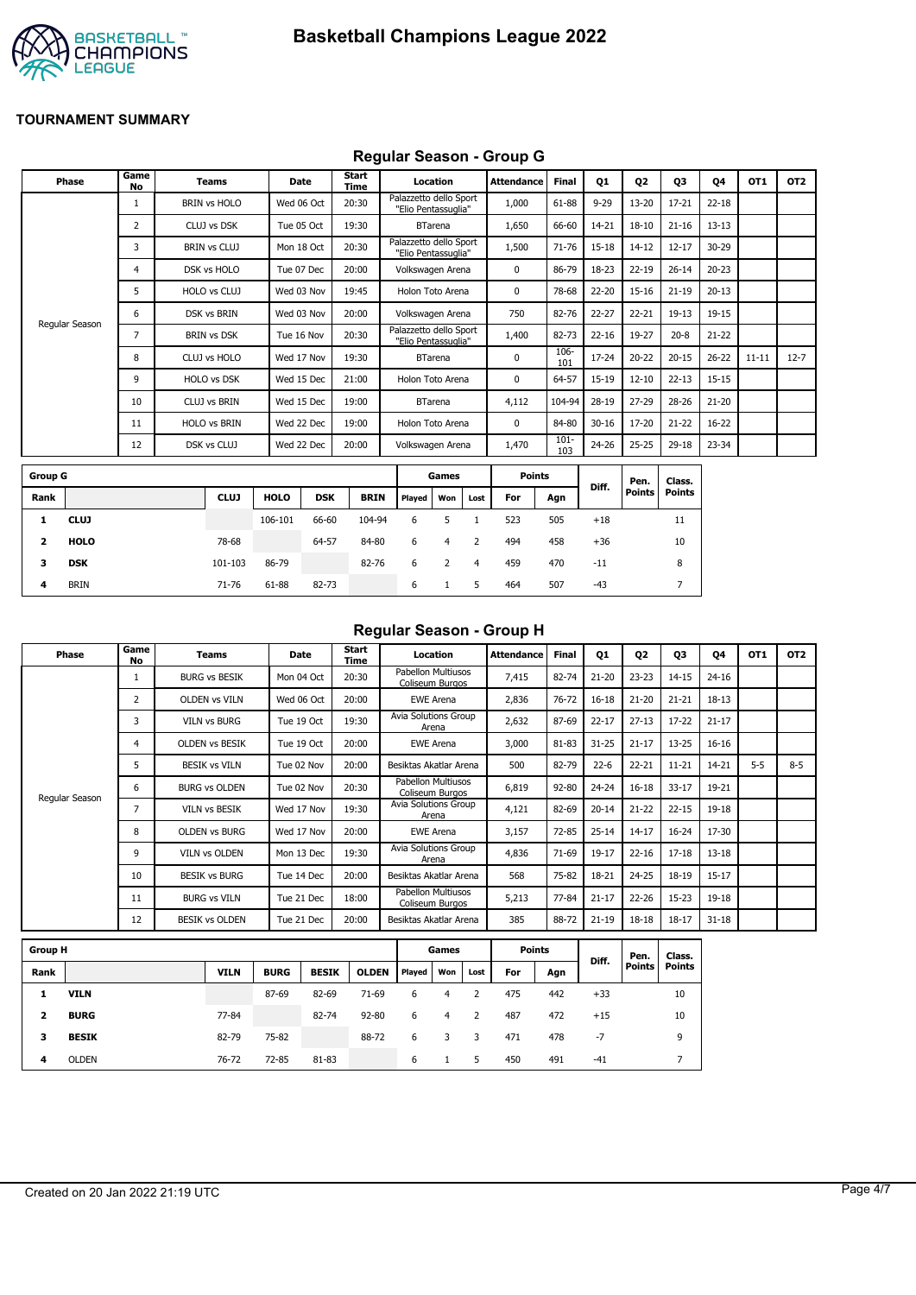

# **Regular Season - Group G**

|                | <b>Phase</b>   | Game<br><b>No</b> | <b>Teams</b>        | Date        |            | <b>Start</b><br>Time |                                               | Location       |      | <b>Attendance</b> | Final          | Q1        | Q <sub>2</sub> | Q3            | Q4        | OT1       | OT <sub>2</sub> |
|----------------|----------------|-------------------|---------------------|-------------|------------|----------------------|-----------------------------------------------|----------------|------|-------------------|----------------|-----------|----------------|---------------|-----------|-----------|-----------------|
|                |                | 1                 | <b>BRIN vs HOLO</b> | Wed 06 Oct  |            | 20:30                | Palazzetto dello Sport<br>"Elio Pentassuglia" |                |      | 1,000             | 61-88          | $9 - 29$  | $13 - 20$      | $17 - 21$     | $22 - 18$ |           |                 |
|                |                | 2                 | CLUJ vs DSK         | Tue 05 Oct  |            | 19:30                |                                               | <b>BTarena</b> |      | 1,650             | 66-60          | 14-21     | $18 - 10$      | $21 - 16$     | $13 - 13$ |           |                 |
|                |                | 3                 | <b>BRIN vs CLUJ</b> |             | Mon 18 Oct | 20:30                | Palazzetto dello Sport<br>"Elio Pentassuglia" |                |      | 1,500             | $71 - 76$      | 15-18     | $14 - 12$      | $12 - 17$     | 30-29     |           |                 |
|                |                | 4                 | DSK vs HOLO         | Tue 07 Dec  |            | 20:00                | Volkswagen Arena                              |                |      | $\mathbf 0$       | 86-79          | 18-23     | $22 - 19$      | $26 - 14$     | $20 - 23$ |           |                 |
|                |                | 5                 | HOLO vs CLUJ        | Wed 03 Nov  |            | 19:45                | Holon Toto Arena                              |                |      | 0                 | 78-68          | 22-20     | $15 - 16$      | $21 - 19$     | $20 - 13$ |           |                 |
|                |                | 6                 | DSK vs BRIN         | Wed 03 Nov  |            | 20:00                | Volkswagen Arena                              |                |      | 750               | 82-76          | 22-27     | $22 - 21$      | $19 - 13$     | 19-15     |           |                 |
|                | Regular Season | 7                 | <b>BRIN vs DSK</b>  | Tue 16 Nov  |            | 20:30                | Palazzetto dello Sport<br>"Elio Pentassuglia" |                |      | 1,400             | 82-73          | $22 - 16$ | 19-27          | $20 - 8$      | $21 - 22$ |           |                 |
|                |                | 8                 | CLUJ vs HOLO        | Wed 17 Nov  |            | 19:30                |                                               | <b>BTarena</b> |      | $\mathbf 0$       | 106-<br>101    | 17-24     | $20 - 22$      | $20 - 15$     | $26 - 22$ | $11 - 11$ | $12 - 7$        |
|                |                | 9                 | <b>HOLO vs DSK</b>  | Wed 15 Dec  |            | 21:00                | Holon Toto Arena                              |                |      | 0                 | 64-57          | 15-19     | $12 - 10$      | $22 - 13$     | 15-15     |           |                 |
|                |                | 10                | <b>CLUJ vs BRIN</b> | Wed 15 Dec  |            | 19:00                |                                               | <b>BTarena</b> |      | 4,112             | 104-94         | 28-19     | $27 - 29$      | 28-26         | $21 - 20$ |           |                 |
|                |                | 11                | <b>HOLO vs BRIN</b> | Wed 22 Dec  |            | 19:00                | Holon Toto Arena                              |                |      | $\mathbf 0$       | 84-80          | $30 - 16$ | 17-20          | $21 - 22$     | $16 - 22$ |           |                 |
|                |                | 12                | DSK vs CLUJ         | Wed 22 Dec  |            | 20:00                | Volkswagen Arena                              |                |      | 1,470             | $101 -$<br>103 | 24-26     | $25 - 25$      | 29-18         | 23-34     |           |                 |
| <b>Group G</b> |                |                   |                     |             |            |                      |                                               | Games          |      | <b>Points</b>     |                |           | Pen.           | Class.        |           |           |                 |
| Rank           |                |                   | <b>CLUJ</b>         | <b>HOLO</b> | <b>DSK</b> | <b>BRIN</b>          | Played                                        | Won            | Lost | For               | Agn            | Diff.     | <b>Points</b>  | <b>Points</b> |           |           |                 |
| 1              | <b>CLUJ</b>    |                   |                     | 106-101     | 66-60      | 104-94               | 6                                             | 5              |      | 523               | 505            | $+18$     |                | 11            |           |           |                 |

| 4            | <b>BRIN</b> | 71-76   | 61-88 | 82-73 |       | 6     | 1 5 | 464  | 507 | -43   |    |
|--------------|-------------|---------|-------|-------|-------|-------|-----|------|-----|-------|----|
| $\mathbf{3}$ | DSK         | 101-103 | 86-79 |       | 82-76 | 6 2 4 |     | 459  | 470 | $-11$ |    |
| -2           | HOLO        | 78-68   |       | 64-57 | 84-80 | 6 4 2 |     | -494 | 458 | +36   | 10 |

#### **Regular Season - Group H**

| Phase          | Game<br>No | Teams                 | Date       | Start<br>Time | Location                              | <b>Attendance</b> | <b>Final</b> | Q1        | Q <sub>2</sub> | Q3        | Q4        | OT <sub>1</sub> | OT <sub>2</sub> |
|----------------|------------|-----------------------|------------|---------------|---------------------------------------|-------------------|--------------|-----------|----------------|-----------|-----------|-----------------|-----------------|
|                |            | <b>BURG vs BESIK</b>  | Mon 04 Oct | 20:30         | Pabellon Multiusos<br>Coliseum Burgos | 7,415             | 82-74        | $21 - 20$ | $23 - 23$      | $14 - 15$ | $24 - 16$ |                 |                 |
|                | 2          | <b>OLDEN vs VILN</b>  | Wed 06 Oct | 20:00         | <b>EWE Arena</b>                      | 2,836             | $76 - 72$    | $16 - 18$ | $21 - 20$      | $21 - 21$ | $18 - 13$ |                 |                 |
|                | 3          | <b>VILN vs BURG</b>   | Tue 19 Oct | 19:30         | Avia Solutions Group<br>Arena         | 2,632             | 87-69        | $22 - 17$ | $27 - 13$      | $17 - 22$ | $21 - 17$ |                 |                 |
|                | 4          | OLDEN vs BESIK        | Tue 19 Oct | 20:00         | <b>EWE Arena</b>                      | 3,000             | 81-83        | $31 - 25$ | $21 - 17$      | $13 - 25$ | $16 - 16$ |                 |                 |
|                | 5          | <b>BESIK vs VILN</b>  | Tue 02 Nov | 20:00         | Besiktas Akatlar Arena                | 500               | 82-79        | $22 - 6$  | $22 - 21$      | $11 - 21$ | 14-21     | $5 - 5$         | $8 - 5$         |
|                | 6          | <b>BURG vs OLDEN</b>  | Tue 02 Nov | 20:30         | Pabellon Multiusos<br>Coliseum Burgos | 6,819             | $92 - 80$    | $24 - 24$ | $16 - 18$      | $33 - 17$ | 19-21     |                 |                 |
| Regular Season | 7          | <b>VILN vs BESIK</b>  | Wed 17 Nov | 19:30         | Avia Solutions Group<br>Arena         | 4,121             | 82-69        | $20 - 14$ | $21 - 22$      | $22 - 15$ | 19-18     |                 |                 |
|                | 8          | <b>OLDEN vs BURG</b>  | Wed 17 Nov | 20:00         | <b>EWE Arena</b>                      | 3,157             | $72 - 85$    | $25 - 14$ | $14 - 17$      | $16 - 24$ | 17-30     |                 |                 |
|                | 9          | <b>VILN vs OLDEN</b>  | Mon 13 Dec | 19:30         | <b>Avia Solutions Group</b><br>Arena  | 4,836             | 71-69        | 19-17     | $22 - 16$      | $17 - 18$ | $13 - 18$ |                 |                 |
|                | 10         | <b>BESIK vs BURG</b>  | Tue 14 Dec | 20:00         | Besiktas Akatlar Arena                | 568               | 75-82        | 18-21     | $24 - 25$      | 18-19     | $15 - 17$ |                 |                 |
|                | 11         | <b>BURG vs VILN</b>   | Tue 21 Dec | 18:00         | Pabellon Multiusos<br>Coliseum Burgos | 5,213             | 77-84        | $21 - 17$ | $22 - 26$      | $15 - 23$ | 19-18     |                 |                 |
|                | 12         | <b>BESIK vs OLDEN</b> | Tue 21 Dec | 20:00         | Besiktas Akatlar Arena                | 385               | 88-72        | $21 - 19$ | $18 - 18$      | $18 - 17$ | $31 - 18$ |                 |                 |

| <b>Group H</b> |              |             |             |              |              |        | Games |      |     | <b>Points</b> |       | Pen.   | Class.        |
|----------------|--------------|-------------|-------------|--------------|--------------|--------|-------|------|-----|---------------|-------|--------|---------------|
| Rank           |              | <b>VILN</b> | <b>BURG</b> | <b>BESIK</b> | <b>OLDEN</b> | Played | Won   | Lost | For | Agn           | Diff. | Points | <b>Points</b> |
|                | <b>VILN</b>  |             | 87-69       | 82-69        | $71-69$      | 6      | 4     |      | 475 | 442           | $+33$ |        | 10            |
| 2              | <b>BURG</b>  | 77-84       |             | 82-74        | $92 - 80$    | 6      | 4     | 2    | 487 | 472           | $+15$ |        | 10            |
| 3              | <b>BESIK</b> | 82-79       | 75-82       |              | 88-72        | 6      | 3     | 3    | 471 | 478           | $-7$  |        | 9             |
| 4              | <b>OLDEN</b> | 76-72       | 72-85       | 81-83        |              | 6      |       | 5    | 450 | 491           | $-41$ |        |               |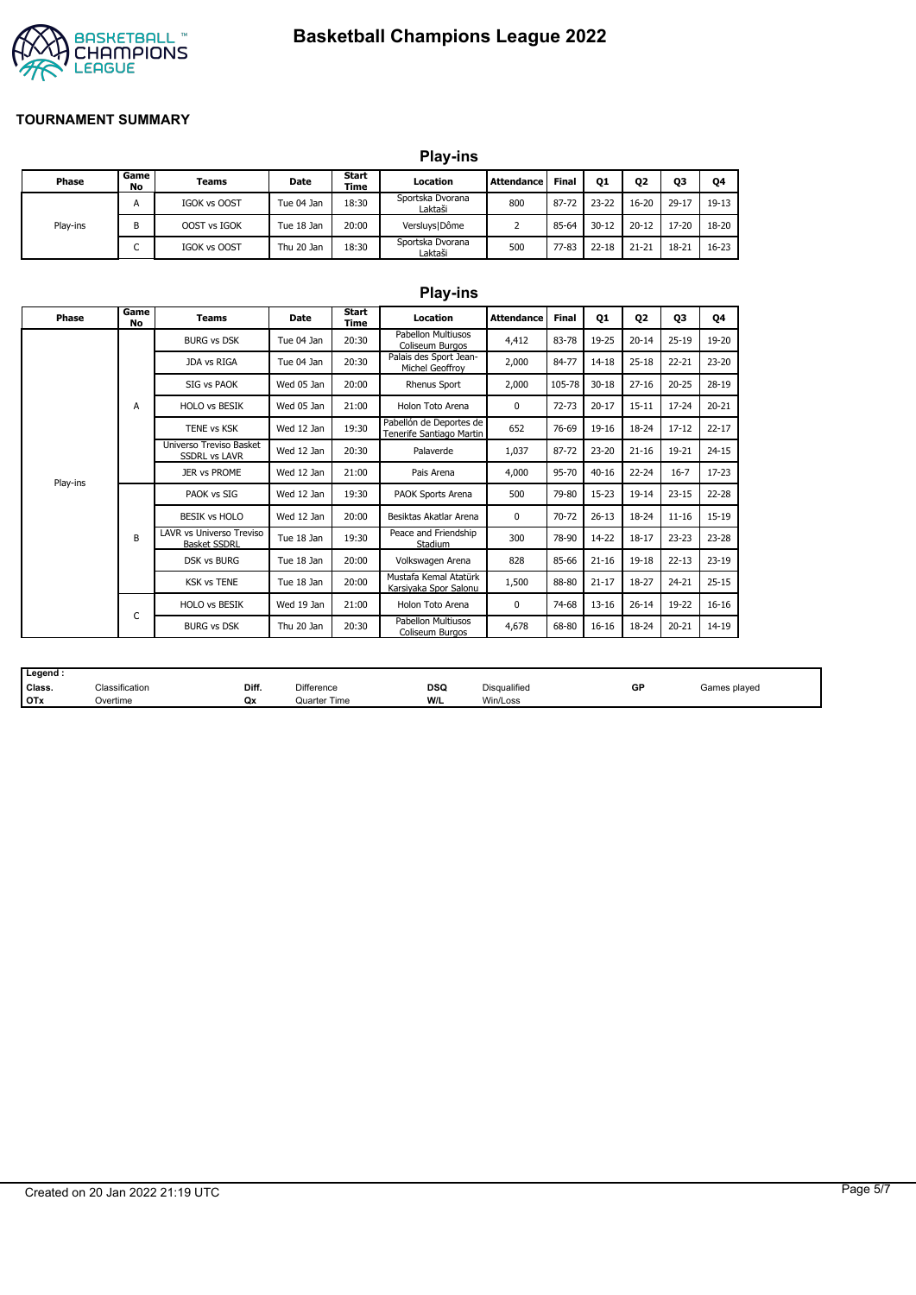# **Basketball Champions League 2022**



#### **TOURNAMENT SUMMARY**

|          |            |                     |            |                      | <b>Play-ins</b>             |                   |              |                |           |           |           |
|----------|------------|---------------------|------------|----------------------|-----------------------------|-------------------|--------------|----------------|-----------|-----------|-----------|
| Phase    | Game<br>No | <b>Teams</b>        | Date       | Start<br><b>Time</b> | Location                    | <b>Attendance</b> | <b>Final</b> | Q <sub>1</sub> | Q2        | Q3        | Q4        |
|          | A          | IGOK vs OOST        | Tue 04 Jan | 18:30                | Sportska Dvorana<br>Laktaši | 800               | 87-72        | 23-22          | $16 - 20$ | $29 - 17$ | 19-13     |
| Play-ins | B          | OOST vs IGOK        | Tue 18 Jan | 20:00                | Versluys   Dôme             |                   | 85-64        | $30 - 12$      | $20 - 12$ | 17-20     | 18-20     |
|          | -<br>◡     | <b>IGOK vs OOST</b> | Thu 20 Jan | 18:30                | Sportska Dvorana<br>Laktaši | 500               | $77 - 83$    | $22 - 18$      | $21 - 21$ | $18 - 21$ | $16 - 23$ |

|          |            |                                                        |            |                      | <b>Play-ins</b>                                     |                   |              |           |                |           |           |
|----------|------------|--------------------------------------------------------|------------|----------------------|-----------------------------------------------------|-------------------|--------------|-----------|----------------|-----------|-----------|
| Phase    | Game<br>No | <b>Teams</b>                                           | Date       | Start<br><b>Time</b> | Location                                            | <b>Attendance</b> | <b>Final</b> | Q1        | Q <sub>2</sub> | Q3        | Q4        |
|          |            | <b>BURG vs DSK</b>                                     | Tue 04 Jan | 20:30                | Pabellon Multiusos<br>Coliseum Burgos               | 4,412             | 83-78        | 19-25     | $20 - 14$      | $25 - 19$ | 19-20     |
|          |            | JDA vs RIGA                                            | Tue 04 Jan | 20:30                | Palais des Sport Jean-<br>Michel Geoffroy           | 2,000             | 84-77        | $14 - 18$ | $25 - 18$      | $22 - 21$ | $23 - 20$ |
|          |            | SIG vs PAOK                                            | Wed 05 Jan | 20:00                | Rhenus Sport                                        | 2,000             | 105-78       | $30 - 18$ | $27 - 16$      | $20 - 25$ | 28-19     |
|          | A          | <b>HOLO vs BESIK</b>                                   | Wed 05 Jan | 21:00                | Holon Toto Arena                                    | 0                 | $72 - 73$    | $20 - 17$ | $15 - 11$      | $17 - 24$ | $20 - 21$ |
|          |            | TENE vs KSK<br>Wed 12 Jan                              |            | 19:30                | Pabellón de Deportes de<br>Tenerife Santiago Martin | 652               | 76-69        | 19-16     | 18-24          | $17 - 12$ | $22 - 17$ |
|          |            | Universo Treviso Basket<br><b>SSDRL vs LAVR</b>        | Wed 12 Jan | 20:30                | Palaverde                                           | 1,037             | 87-72        | $23 - 20$ | $21 - 16$      | 19-21     | $24 - 15$ |
| Play-ins |            | <b>JER vs PROME</b>                                    | Wed 12 Jan | 21:00                | Pais Arena                                          | 4,000             | 95-70        | $40 - 16$ | $22 - 24$      | $16 - 7$  | $17 - 23$ |
|          |            | PAOK vs SIG                                            | Wed 12 Jan | 19:30                | PAOK Sports Arena                                   | 500               | 79-80        | 15-23     | $19 - 14$      | $23 - 15$ | $22 - 28$ |
|          |            | <b>BESIK vs HOLO</b>                                   | Wed 12 Jan | 20:00                | Besiktas Akatlar Arena                              | $\mathbf 0$       | 70-72        | $26 - 13$ | 18-24          | $11 - 16$ | $15-19$   |
|          | B          | <b>LAVR vs Universo Treviso</b><br><b>Basket SSDRL</b> | Tue 18 Jan | 19:30                | Peace and Friendship<br>Stadium                     | 300               | 78-90        | 14-22     | $18 - 17$      | $23 - 23$ | $23 - 28$ |
|          |            | <b>DSK vs BURG</b>                                     | Tue 18 Jan | 20:00                | Volkswagen Arena                                    | 828               | 85-66        | $21 - 16$ | $19-18$        | $22 - 13$ | $23-19$   |
|          |            | <b>KSK vs TENE</b>                                     | Tue 18 Jan | 20:00                | Mustafa Kemal Atatürk<br>Karsiyaka Spor Salonu      | 1,500             | 88-80        | $21 - 17$ | 18-27          | $24 - 21$ | $25 - 15$ |
|          |            | <b>HOLO vs BESIK</b>                                   | Wed 19 Jan | 21:00                | Holon Toto Arena                                    | 0                 | 74-68        | $13 - 16$ | $26 - 14$      | 19-22     | $16 - 16$ |
|          | С          | <b>BURG vs DSK</b>                                     | Thu 20 Jan | 20:30                | Pabellon Multiusos<br>Coliseum Burgos               | 4,678             | 68-80        | 16-16     | 18-24          | $20 - 21$ | 14-19     |

| Legend |                |       |              |            |                     |    |              |
|--------|----------------|-------|--------------|------------|---------------------|----|--------------|
| Class. | Classification | Diff. | Difference   | <b>DSQ</b> | <b>Disqualified</b> | GP | Games played |
| I OTx  | Overtime       | Qx    | Quarter Time | W/L        | Win/Loss            |    |              |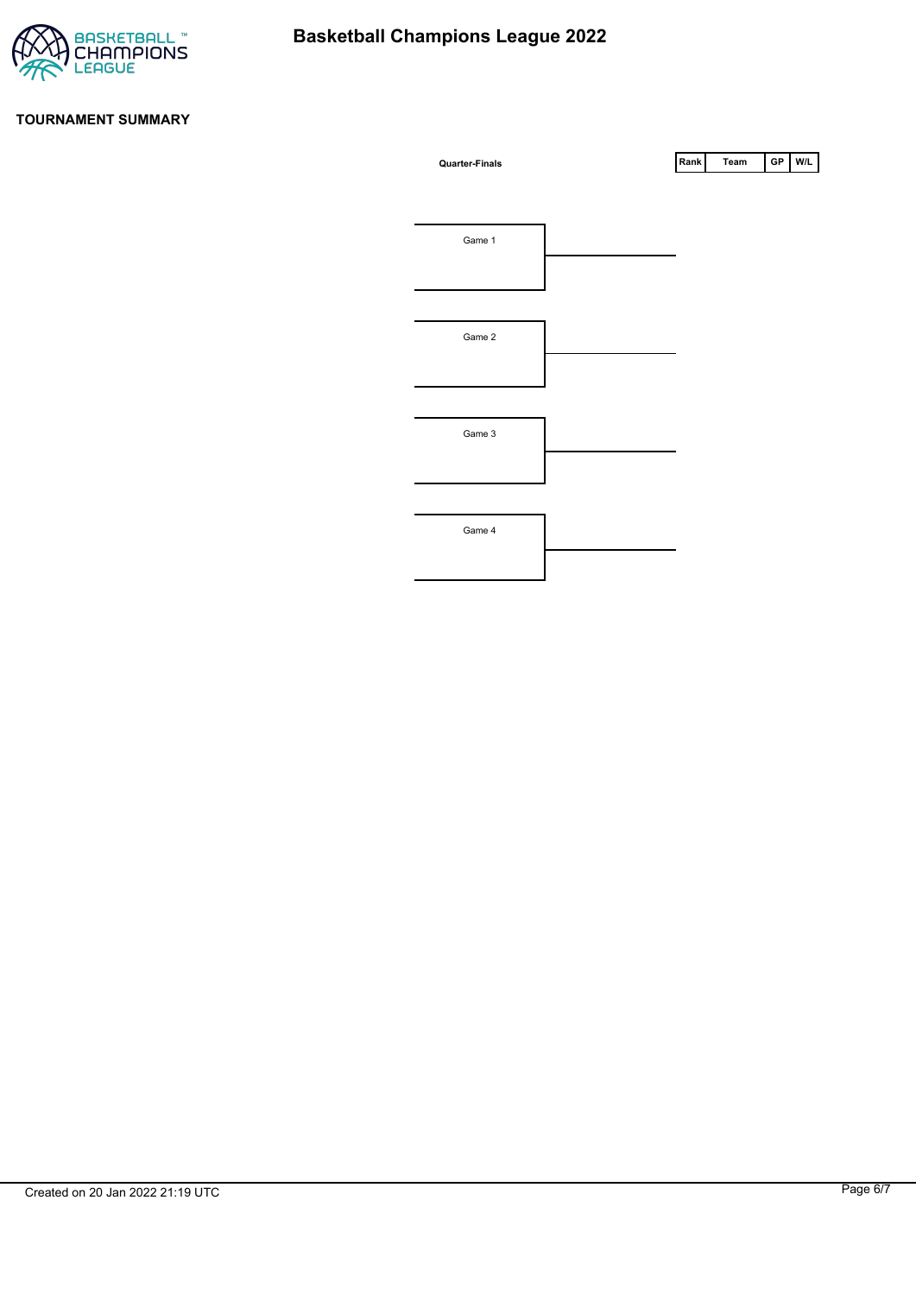